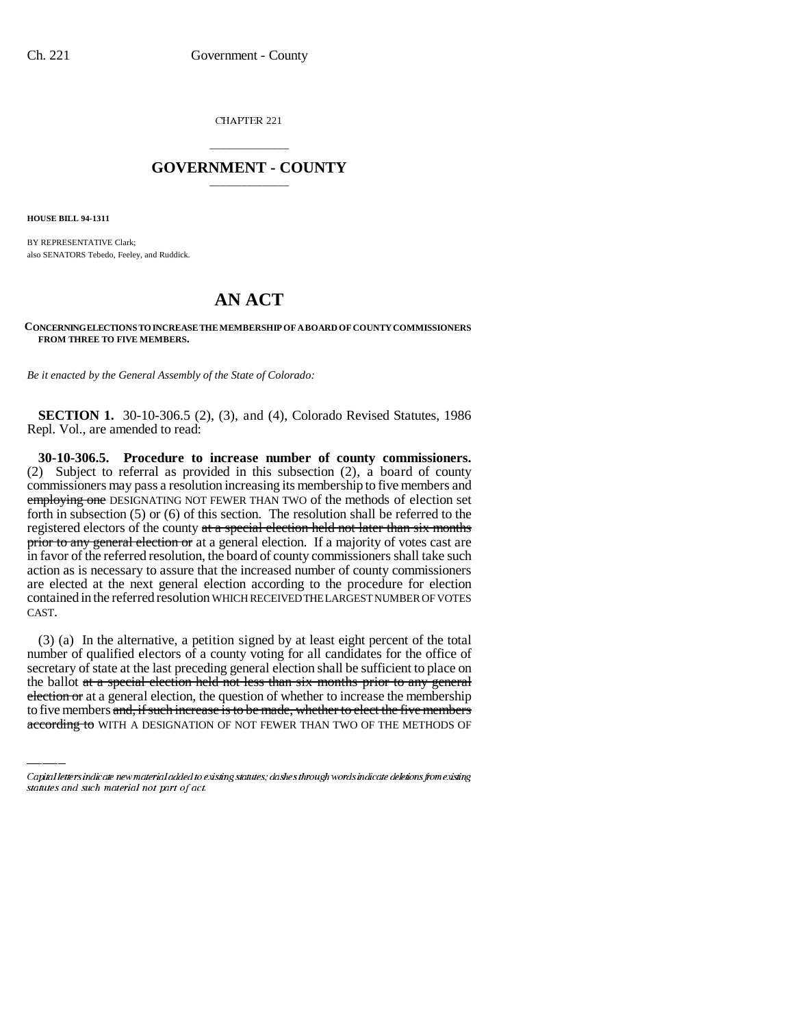CHAPTER 221

## \_\_\_\_\_\_\_\_\_\_\_\_\_\_\_ **GOVERNMENT - COUNTY** \_\_\_\_\_\_\_\_\_\_\_\_\_\_\_

**HOUSE BILL 94-1311**

BY REPRESENTATIVE Clark; also SENATORS Tebedo, Feeley, and Ruddick.

## **AN ACT**

**CONCERNING ELECTIONS TO INCREASE THE MEMBERSHIP OF A BOARD OF COUNTY COMMISSIONERS FROM THREE TO FIVE MEMBERS.**

*Be it enacted by the General Assembly of the State of Colorado:*

**SECTION 1.** 30-10-306.5 (2), (3), and (4), Colorado Revised Statutes, 1986 Repl. Vol., are amended to read:

**30-10-306.5. Procedure to increase number of county commissioners.** (2) Subject to referral as provided in this subsection (2), a board of county commissioners may pass a resolution increasing its membership to five members and employing one DESIGNATING NOT FEWER THAN TWO of the methods of election set forth in subsection (5) or (6) of this section. The resolution shall be referred to the registered electors of the county at a special election held not later than six months prior to any general election or at a general election. If a majority of votes cast are in favor of the referred resolution, the board of county commissioners shall take such action as is necessary to assure that the increased number of county commissioners are elected at the next general election according to the procedure for election contained in the referred resolution WHICH RECEIVED THE LARGEST NUMBER OF VOTES CAST.

secretary of state at the last preceding general election shall be sufficient to place on (3) (a) In the alternative, a petition signed by at least eight percent of the total number of qualified electors of a county voting for all candidates for the office of the ballot at a special election held not less than six months prior to any general election or at a general election, the question of whether to increase the membership to five members and, if such increase is to be made, whether to elect the five members according to WITH A DESIGNATION OF NOT FEWER THAN TWO OF THE METHODS OF

Capital letters indicate new material added to existing statutes; dashes through words indicate deletions from existing statutes and such material not part of act.